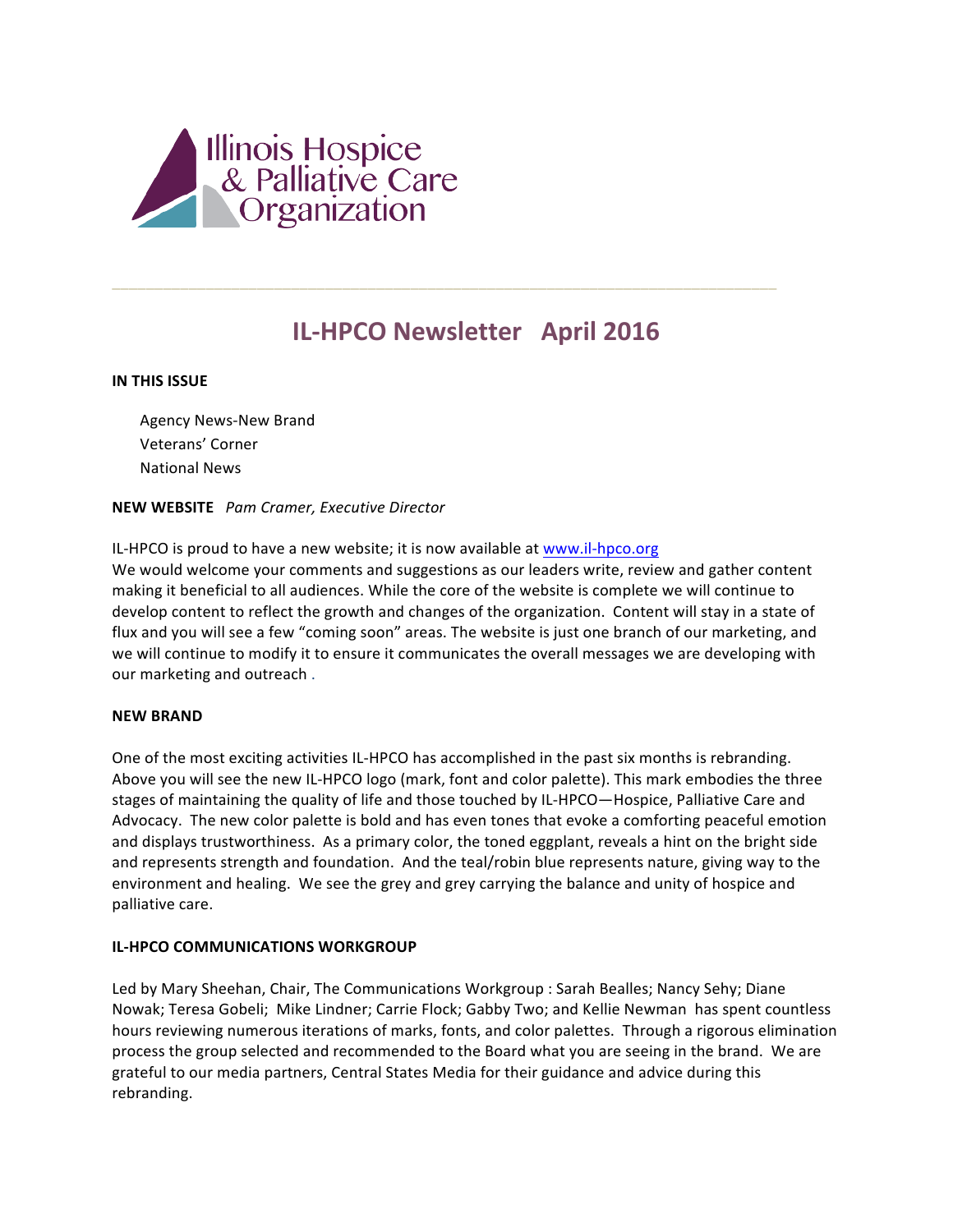

# **IL-HPCO Newsletter April 2016**

\_\_\_\_\_\_\_\_\_\_\_\_\_\_\_\_\_\_\_\_\_\_\_\_\_\_\_\_\_\_\_\_\_\_\_\_\_\_\_\_\_\_\_\_\_\_\_\_\_\_\_\_\_\_\_\_\_\_\_\_\_\_\_\_\_\_\_\_\_\_\_\_\_\_\_\_\_\_

# **IN THIS ISSUE**

Agency News-New Brand Veterans' Corner National News 

# **NEW WEBSITE** *Pam Cramer, Executive Director*

IL-HPCO is proud to have a new website; it is now available at www.il-hpco.org We would welcome your comments and suggestions as our leaders write, review and gather content making it beneficial to all audiences. While the core of the website is complete we will continue to develop content to reflect the growth and changes of the organization. Content will stay in a state of flux and you will see a few "coming soon" areas. The website is just one branch of our marketing, and we will continue to modify it to ensure it communicates the overall messages we are developing with our marketing and outreach.

#### **NEW BRAND**

One of the most exciting activities IL-HPCO has accomplished in the past six months is rebranding. Above you will see the new IL-HPCO logo (mark, font and color palette). This mark embodies the three stages of maintaining the quality of life and those touched by IL-HPCO—Hospice, Palliative Care and Advocacy. The new color palette is bold and has even tones that evoke a comforting peaceful emotion and displays trustworthiness. As a primary color, the toned eggplant, reveals a hint on the bright side and represents strength and foundation. And the teal/robin blue represents nature, giving way to the environment and healing. We see the grey and grey carrying the balance and unity of hospice and palliative care.

# **IL-HPCO COMMUNICATIONS WORKGROUP**

Led by Mary Sheehan, Chair, The Communications Workgroup : Sarah Bealles; Nancy Sehy; Diane Nowak; Teresa Gobeli; Mike Lindner; Carrie Flock; Gabby Two; and Kellie Newman has spent countless hours reviewing numerous iterations of marks, fonts, and color palettes. Through a rigorous elimination process the group selected and recommended to the Board what you are seeing in the brand. We are grateful to our media partners, Central States Media for their guidance and advice during this rebranding.